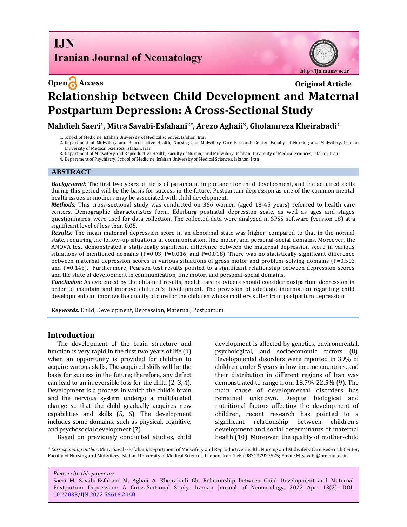**I.IN Iranian Journal of Neonatology** 



# **Open Access Original Article Relationship between Child Development and Maternal Postpartum Depression: A Cross-Sectional Study**

**Mahdieh Saeri1, Mitra Savabi-Esfahani2\*, Arezo Aghaii3, Gholamreza Kheirabadi<sup>4</sup>**

- 1. School of Medicine, Isfahan University of Medical sciences, Isfahan, Iran
- 2. Department of Midwifery and Reproductive Health, Nursing and Midwifery Care Research Center, Faculty of Nursing and Midwifery, Isfahan University of Medical Sciences, Isfahan, Iran
- 3. Department of Midwifery and Reproductive Health, Faculty of Nursing and Midwifery, Isfahan University of Medical Sciences, Isfahan, Iran
- 4. Department of Psychiatry, School of Medicine, Isfahan University of Medical Sciences, Isfahan, Iran

# **ABSTRACT**

*Background:* The first two years of life is of paramount importance for child development, and the acquired skills during this period will be the basis for success in the future. Postpartum depression as one of the common mental health issues in mothers may be associated with child development.

*Methods:* This cross-sectional study was conducted on 366 women (aged 18-45 years) referred to health care centers. Demographic characteristics form, Edinburg postnatal depression scale, as well as ages and stages questionnaires, were used for data collection. The collected data were analyzed in SPSS software (version 18) at a significant level of less than 0.05.

*Results:* The mean maternal depression score in an abnormal state was higher, compared to that in the normal state, requiring the follow-up situations in communication, fine motor, and personal-social domains. Moreover, the ANOVA test demonstrated a statistically significant difference between the maternal depression score in various situations of mentioned domains ( $P=0.03$ ,  $P=0.016$ , and  $P=0.018$ ). There was no statistically significant difference between maternal depression scores in various situations of gross motor and problem-solving domains (P=0.503 and P=0.145). Furthermore, Pearson test results pointed to a significant relationship between depression scores and the state of development in communication, fine motor, and personal-social domains.

*Conclusion:* As evidenced by the obtained results, health care providers should consider postpartum depression in order to maintain and improve children's development. The provision of adequate information regarding child development can improve the quality of care for the children whose mothers suffer from postpartum depression.

*Keywords:* Child, Development, Depression, Maternal, Postpartum

# **Introduction**

The development of the brain structure and function is very rapid in the first two years of life (1) when an opportunity is provided for children to acquire various skills. The acquired skills will be the basis for success in the future; therefore, any defect can lead to an irreversible loss for the child (2, 3, 4). Development is a process in which the child's brain and the nervous system undergo a multifaceted change so that the child gradually acquires new capabilities and skills (5, 6). The development includes some domains, such as physical, cognitive, and psychosocial development (7).

Based on previously conducted studies, child

development is affected by genetics, environmental, psychological, and socioeconomic factors (8). Developmental disorders were reported in 39% of children under 5 years in low-income countries, and their distribution in different regions of Iran was demonstrated to range from 18.7%-22.5% (9). The main cause of developmental disorders has remained unknown. Despite biological and nutritional factors affecting the development of children, recent research has pointed to a significant relationship between children's development and social determinants of maternal health (10). Moreover, the quality of mother-child

*\* Corresponding author*: Mitra Savabi-Esfahani, Department of Midwifery and Reproductive Health, Nursing and Midwifery Care Research Center, Faculty of Nursing and Midwifery, Isfahan University of Medical Sciences, Isfahan, Iran. Tel: +983137927525; Email[: M\\_savabi@nm.mui.ac.ir](mailto:M_savabi@nm.mui.ac.ir)

*Please cite this paper as:*

Saeri M, Savabi-Esfahani M, Aghaii A, Kheirabadi Gh. Relationship between Child Development and Maternal Postpartum Depression: A Cross-Sectional Study. Iranian Journal of Neonatology. 2022 Apr: 13(2). DOI: [10.22038/IJN.2022.56616.2060](https://ijn.mums.ac.ir/)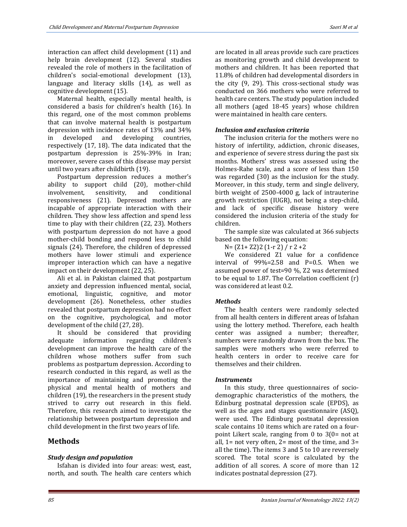interaction can affect child development (11) and help brain development (12). Several studies revealed the role of mothers in the facilitation of children's social-emotional development (13), language and literacy skills (14), as well as cognitive development (15).

Maternal health, especially mental health, is considered a basis for children's health (16). In this regard, one of the most common problems that can involve maternal health is postpartum depression with incidence rates of 13% and 34% in developed and developing countries, respectively (17, 18). The data indicated that the postpartum depression is 25%-39% in Iran; moreover, severe cases of this disease may persist until two years after childbirth (19).

Postpartum depression reduces a mother's ability to support child (20), mother-child involvement, sensitivity, and conditional responsiveness (21). Depressed mothers are incapable of appropriate interaction with their children. They show less affection and spend less time to play with their children (22, 23). Mothers with postpartum depression do not have a good mother-child bonding and respond less to child signals (24). Therefore, the children of depressed mothers have lower stimuli and experience improper interaction which can have a negative impact on their development (22, 25).

Ali et al. in Pakistan claimed that postpartum anxiety and depression influenced mental, social, emotional, linguistic, cognitive, and motor development (26). Nonetheless, other studies revealed that postpartum depression had no effect on the cognitive, psychological, and motor development of the child (27, 28).

It should be considered that providing adequate information regarding children's development can improve the health care of the children whose mothers suffer from such problems as postpartum depression. According to research conducted in this regard, as well as the importance of maintaining and promoting the physical and mental health of mothers and children (19), the researchers in the present study strived to carry out research in this field. Therefore, this research aimed to investigate the relationship between postpartum depression and child development in the first two years of life.

# **Methods**

#### *Study design and population*

Isfahan is divided into four areas: west, east, north, and south. The health care centers which are located in all areas provide such care practices as monitoring growth and child development to mothers and children. It has been reported that 11.8% of children had developmental disorders in the city (9, 29). This cross-sectional study was conducted on 366 mothers who were referred to health care centers. The study population included all mothers (aged 18-45 years) whose children were maintained in health care centers.

### *Inclusion and exclusion criteria*

The inclusion criteria for the mothers were no history of infertility, addiction, chronic diseases, and experience of severe stress during the past six months. Mothers' stress was assessed using the Holmes-Rahe scale, and a score of less than 150 was regarded (30) as the inclusion for the study. Moreover, in this study, term and single delivery, birth weight of 2500-4000 g, lack of intrauterine growth restriction (IUGR), not being a step-child, and lack of specific disease history were considered the inclusion criteria of the study for children.

The sample size was calculated at 366 subjects based on the following equation:

N= (Z1+ Z2)2 (1-r 2) / r 2 +2

We considered Z1 value for a confidence interval of 99%=2.58 and P=0.5. When we assumed power of test=90 %, Z2 was determined to be equal to 1.87. The Correlation coefficient (r) was considered at least 0.2.

#### *Methods*

The health centers were randomly selected from all health centers in different areas of Isfahan using the lottery method. Therefore, each health center was assigned a number; thereafter, numbers were randomly drawn from the box. The samples were mothers who were referred to health centers in order to receive care for themselves and their children.

#### *Instruments*

In this study, three questionnaires of sociodemographic characteristics of the mothers, the Edinburg postnatal depression scale (EPDS), as well as the ages and stages questionnaire (ASQ), were used. The Edinburg postnatal depression scale contains 10 items which are rated on a fourpoint Likert scale, ranging from 0 to 3(0= not at all,  $1=$  not very often,  $2=$  most of the time, and  $3=$ all the time). The items 3 and 5 to 10 are reversely scored. The total score is calculated by the addition of all scores. A score of more than 12 indicates postnatal depression (27).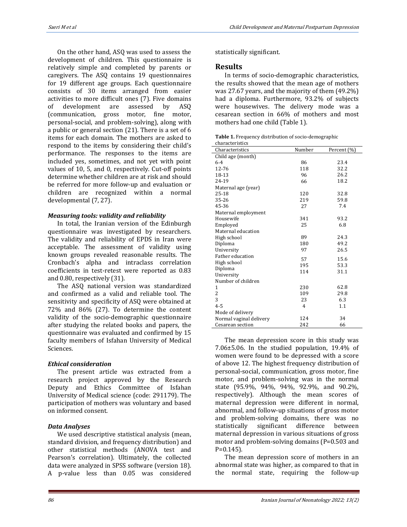On the other hand, ASQ was used to assess the development of children. This questionnaire is relatively simple and completed by parents or caregivers. The ASQ contains 19 questionnaires for 19 different age groups. Each questionnaire consists of 30 items arranged from easier activities to more difficult ones (7). Five domains of development are assessed by ASQ (communication, gross motor, fine motor, personal-social, and problem-solving), along with a public or general section (21). There is a set of 6 items for each domain. The mothers are asked to respond to the items by considering their child's performance. The responses to the items are included yes, sometimes, and not yet with point values of 10, 5, and 0, respectively. Cut-off points determine whether children are at risk and should be referred for more follow-up and evaluation or children are recognized within a normal developmental (7, 27).

#### *Measuring tools: validity and reliability*

In total, the Iranian version of the Edinburgh questionnaire was investigated by researchers. The validity and reliability of EPDS in Iran were acceptable. The assessment of validity using known groups revealed reasonable results. The Cronbach's alpha and intraclass correlation coefficients in test-retest were reported as 0.83 and 0.80, respectively (31).

The ASQ national version was standardized and confirmed as a valid and reliable tool. The sensitivity and specificity of ASQ were obtained at 72% and 86% (27). To determine the content validity of the socio-demographic questionnaire after studying the related books and papers, the questionnaire was evaluated and confirmed by 15 faculty members of Isfahan University of Medical Sciences.

#### *Ethical consideration*

The present article was extracted from a research project approved by the Research Deputy and Ethics Committee of Isfahan University of Medical science (code: 291179). The participation of mothers was voluntary and based on informed consent.

#### *Data Analyses*

We used descriptive statistical analysis (mean, standard division, and frequency distribution) and other statistical methods (ANOVA test and Pearson's correlation). Ultimately, the collected data were analyzed in SPSS software (version 18). A p-value less than 0.05 was considered statistically significant.

#### **Results**

In terms of socio-demographic characteristics, the results showed that the mean age of mothers was 27.67 years, and the majority of them (49.2%) had a diploma. Furthermore, 93.2% of subjects were housewives. The delivery mode was a cesarean section in 66% of mothers and most mothers had one child (Table 1).

| <b>Table 1.</b> Frequency distribution of socio-demographic |
|-------------------------------------------------------------|
| characteristics                                             |

| ellal acteristics       |                |             |
|-------------------------|----------------|-------------|
| Characteristics         | Number         | Percent (%) |
| Child age (month)       |                |             |
| $6-4$                   | 86             | 23.4        |
| $12 - 76$               | 118            | 32.2        |
| 18-13                   | 96             | 26.2        |
| 24-19                   | 66             | 18.2        |
| Maternal age (year)     |                |             |
| $25-18$                 | 120            | 32.8        |
| 35-26                   | 219            | 59.8        |
| 45-36                   | 27             | 7.4         |
| Maternal employment     |                |             |
| Housewife               | 341            | 93.2        |
| Employed                | 25             | 6.8         |
| Maternal education      |                |             |
| High school             | 89             | 24.3        |
| Diploma                 | 180            | 49.2        |
| University              | 97             | 26.5        |
| Father education        | 57             | 15.6        |
| High school             | 195            | 53.3        |
| Diploma                 |                |             |
| University              | 114            | 31.1        |
| Number of children      |                |             |
| 1                       | 230            | 62.8        |
| 2                       | 109            | 29.8        |
| 3                       | 23             | 6.3         |
| $4 - 5$                 | $\overline{4}$ | 1.1         |
| Mode of delivery        |                |             |
| Normal vaginal delivery | 124            | 34          |
| Cesarean section        | 242            | 66          |

The mean depression score in this study was 7.06±5.06. In the studied population, 19.4% of women were found to be depressed with a score of above 12. The highest frequency distribution of personal-social, communication, gross motor, fine motor, and problem-solving was in the normal state (95.9%, 94%, 94%, 92.9%, and 90.2%, respectively). Although the mean scores of maternal depression were different in normal, abnormal, and follow-up situations of gross motor and problem-solving domains, there was no statistically significant difference between maternal depression in various situations of gross motor and problem-solving domains (P=0.503 and P=0.145).

The mean depression score of mothers in an abnormal state was higher, as compared to that in the normal state, requiring the follow-up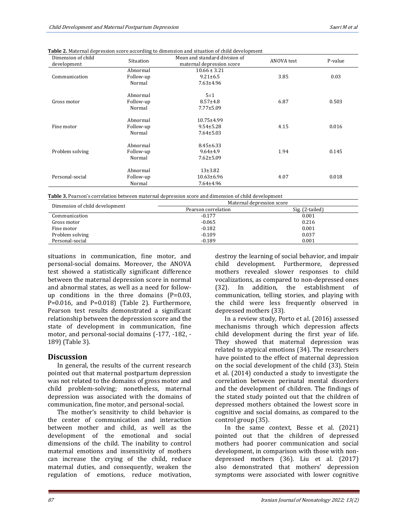| Dimension of child<br>development | Situation | Mean and standard division of<br>maternal depression score | ANOVA test | P-value |
|-----------------------------------|-----------|------------------------------------------------------------|------------|---------|
| Communication                     | Abnormal  | $10.66 \pm 3.21$                                           |            |         |
|                                   | Follow-up | $9.21 \pm 6.5$                                             | 3.85       | 0.03    |
|                                   | Normal    | $7.63 \pm 4.96$                                            |            |         |
| Gross motor                       | Abnormal  | $5\pm1$                                                    |            |         |
|                                   | Follow-up | $8.57 \pm 4.8$                                             | 6.87       | 0.503   |
|                                   | Normal    | $7.77 \pm 5.09$                                            |            |         |
| Fine motor                        | Abnormal  | 10.75±4.99                                                 |            |         |
|                                   | Follow-up | $9.54 \pm 5.28$                                            | 4.15       | 0.016   |
|                                   | Normal    | $7.64 \pm 5.03$                                            |            |         |
| Problem solving                   | Abnormal  | $8.45 \pm 6.33$                                            |            |         |
|                                   | Follow-up | $9.64 \pm 4.9$                                             | 1.94       | 0.145   |
|                                   | Normal    | $7.62 \pm 5.09$                                            |            |         |
| Personal-social                   | Abnormal  | $13+3.82$                                                  |            |         |
|                                   | Follow-up | $10.63 \pm 6.96$                                           | 4.07       | 0.018   |
|                                   | Normal    | 7.64±4.96                                                  |            |         |

**Table 2.** Maternal depression score according to dimension and situation of child development

**Table 3.** Pearson's correlation between maternal depression score and dimension of child development

|                                | Maternal depression score |                 |  |
|--------------------------------|---------------------------|-----------------|--|
| Dimension of child development | Pearson correlation       | Sig. (2-tailed) |  |
| Communication                  | $-0.177$                  | 0.001           |  |
| Gross motor                    | $-0.065$                  | 0.216           |  |
| Fine motor                     | $-0.182$                  | 0.001           |  |
| Problem solving                | $-0.109$                  | 0.037           |  |
| Personal-social                | $-0.189$                  | 0.001           |  |

situations in communication, fine motor, and personal-social domains. Moreover, the ANOVA test showed a statistically significant difference between the maternal depression score in normal and abnormal states, as well as a need for followup conditions in the three domains (P=0.03, P=0.016, and P=0.018) (Table 2). Furthermore, Pearson test results demonstrated a significant relationship between the depression score and the state of development in communication, fine motor, and personal-social domains (-177, -182, - 189) (Table 3).

# **Discussion**

In general, the results of the current research pointed out that maternal postpartum depression was not related to the domains of gross motor and child problem-solving; nonetheless, maternal depression was associated with the domains of communication, fine motor, and personal-social.

The mother's sensitivity to child behavior is the center of communication and interaction between mother and child, as well as the development of the emotional and social dimensions of the child. The inability to control maternal emotions and insensitivity of mothers can increase the crying of the child, reduce maternal duties, and consequently, weaken the regulation of emotions, reduce motivation, destroy the learning of social behavior, and impair child development. Furthermore, depressed mothers revealed slower responses to child vocalizations, as compared to non-depressed ones (32). In addition, the establishment of communication, telling stories, and playing with the child were less frequently observed in depressed mothers (33).

In a review study, Porto et al. (2016) assessed mechanisms through which depression affects child development during the first year of life. They showed that maternal depression was related to atypical emotions (34). The researchers have pointed to the effect of maternal depression on the social development of the child (33). Stein et al. (2014) conducted a study to investigate the correlation between perinatal mental disorders and the development of children. The findings of the stated study pointed out that the children of depressed mothers obtained the lowest score in cognitive and social domains, as compared to the control group (35).

In the same context, Besse et al. (2021) pointed out that the children of depressed mothers had poorer communication and social development, in comparison with those with nondepressed mothers (36). Liu et al. (2017) also demonstrated that mothers' depression symptoms were associated with lower cognitive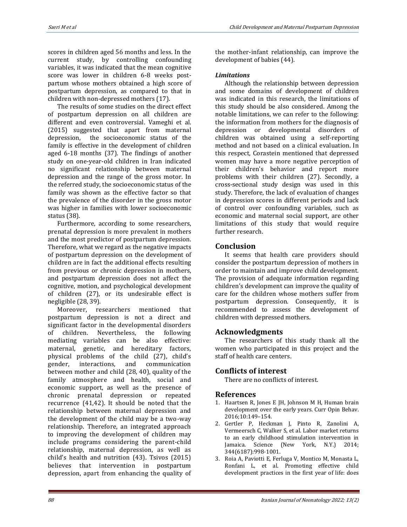scores in children aged 56 months and less. In the current study, by controlling confounding variables, it was indicated that the mean cognitive score was lower in children 6-8 weeks postpartum whose mothers obtained a high score of postpartum depression, as compared to that in children with non-depressed mothers (17).

The results of some studies on the direct effect of postpartum depression on all children are different and even controversial. Vameghi et al. (2015) suggested that apart from maternal depression, the socioeconomic status of the family is effective in the development of children aged 6-18 months (37). The findings of another study on one-year-old children in Iran indicated no significant relationship between maternal depression and the range of the gross motor. In the referred study, the socioeconomic status of the family was shown as the effective factor so that the prevalence of the disorder in the gross motor was higher in families with lower socioeconomic status (38).

Furthermore, according to some researchers, prenatal depression is more prevalent in mothers and the most predictor of postpartum depression. Therefore, what we regard as the negative impacts of postpartum depression on the development of children are in fact the additional effects resulting from previous or chronic depression in mothers, and postpartum depression does not affect the cognitive, motion, and psychological development of children (27), or its undesirable effect is negligible (28, 39).

Moreover, researchers mentioned that postpartum depression is not a direct and significant factor in the developmental disorders of children. Nevertheless, the following mediating variables can be also effective: maternal, genetic, and hereditary factors, physical problems of the child (27), child's gender, interactions, and communication between mother and child (28, 40), quality of the family atmosphere and health, social and economic support, as well as the presence of chronic prenatal depression or repeated recurrence (41,42). It should be noted that the relationship between maternal depression and the development of the child may be a two-way relationship. Therefore, an integrated approach to improving the development of children may include programs considering the parent-child relationship, maternal depression, as well as child's health and nutrition (43). Tsivos (2015) believes that intervention in postpartum depression, apart from enhancing the quality of

the mother-infant relationship, can improve the development of babies (44).

#### *Limitations*

Although the relationship between depression and some domains of development of children was indicated in this research, the limitations of this study should be also considered. Among the notable limitations, we can refer to the following: the information from mothers for the diagnosis of depression or developmental disorders of children was obtained using a self-reporting method and not based on a clinical evaluation. In this respect, Corastein mentioned that depressed women may have a more negative perception of their children's behavior and report more problems with their children (27). Secondly, a cross-sectional study design was used in this study. Therefore, the lack of evaluation of changes in depression scores in different periods and lack of control over confounding variables, such as economic and maternal social support, are other limitations of this study that would require further research.

# **Conclusion**

It seems that health care providers should consider the postpartum depression of mothers in order to maintain and improve child development. The provision of adequate information regarding children's development can improve the quality of care for the children whose mothers suffer from postpartum depression. Consequently, it is recommended to assess the development of children with depressed mothers.

# **Acknowledgments**

The researchers of this study thank all the women who participated in this project and the staff of health care centers.

# **Conflicts of interest**

There are no conflicts of interest.

# **References**

- 1. [Haartsen](https://www.sciencedirect.com/science/article/pii/S2352154616301164#!) R, [Jones](https://www.sciencedirect.com/science/article/pii/S2352154616301164#!) E JH, [Johnson](https://www.sciencedirect.com/science/article/pii/S2352154616301164#!) M H, Human brain development over the early years. Curr Opin Behav. 2016;10:149–154.
- 2. Gertler P, Heckman J, Pinto R, Zanolini A, Vermeersch C, Walker S, et al. Labor market returns to an early childhood stimulation intervention in Jamaica. Science (New York, N.Y.) 2014; 344(6187):998-1001.
- 3. Roia A, Paviotti E, Ferluga V, Montico M, Monasta L, Ronfani L, et al. Promoting effective child development practices in the first year of life: does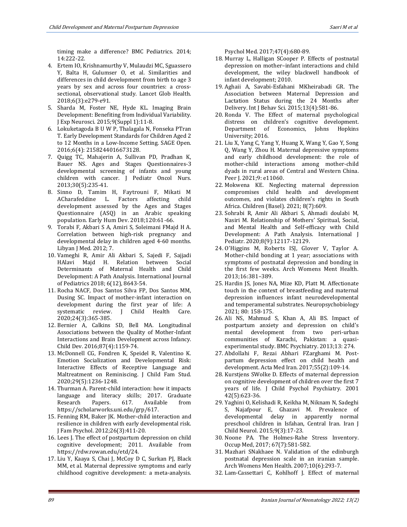timing make a difference? BMC Pediatrics. 2014; 14:222-22.

- 4. Ertem IO, Krishnamurthy V, Mulaudzi MC, Sguassero Y, Balta H, Gulumser O, et al. Similarities and differences in child development from birth to age 3 years by sex and across four countries: a crosssectional, observational study. Lancet Glob Health. 2018;6(3):e279-e91.
- 5. Sharda M, Foster NE, Hyde KL. Imaging Brain Development: Benefiting from Individual Variability. J Exp Neurosci. 2015;9(Suppl 1):11-8.
- 6. Lokuketagoda B U W P, Thalagala N, Fonseka PTran T. Early Development Standards for Children Aged 2 to 12 Months in a Low-Income Setting. SAGE Open. 2016;6(4): 2158244016673128.
- 7. Quigg TC, Mahajerin A, Sullivan PD, Pradhan K, Bauer NS. Ages and Stages Questionnaires-3 developmental screening of infants and young children with cancer. J Pediatr Oncol Nurs. 2013;30(5):235-41.
- 8. Sinno D, Tamim H, Faytrouni F, Mikati M ACharafeddine L. Factors affecting child development assessed by the Ages and Stages Questionnaire (ASQ) in an Arabic speaking population. Early Hum Dev. 2018;120:61-66.
- 9. Torabi F, Akbari S A, Amiri S, Soleimani FMajd H A. Correlation between high-risk pregnancy and developmental delay in children aged 4-60 months. Libyan J Med. 2012; 7.
- 10. Vameghi R, Amir Ali Akbari S, Sajedi F, Sajjadi HAlavi Majd H. Relation between Social Determinants of Maternal Health and Child Development: A Path Analysis. International Journal of Pediatrics 2018; 6(12), 8643-54.
- 11. Rocha NACF, Dos Santos Silva FP, Dos Santos MM, Dusing SC. Impact of mother-infant interaction on development during the first year of life: A systematic review. J Child Health Care. 2020;24(3):365-385.
- 12. Bernier A, Calkins SD, Bell MA. Longitudinal Associations between the Quality of Mother-Infant Interactions and Brain Development across Infancy. Child Dev. 2016;87(4):1159-74.
- 13. McDonnell CG, Fondren K, Speidel R, Valentino K. Emotion Socialization and Developmental Risk: Interactive Effects of Receptive Language and Maltreatment on Reminiscing. J Child Fam Stud. 2020;29(5):1236-1248.
- 14. Thurman A. Parent-child interaction: how it impacts language and literacy skills; 2017. Graduate Research Papers. 617. Available from https://scholarworks.uni.edu/grp/617.
- 15. Fenning RM, Baker JK. Mother-child interaction and resilience in children with early developmental risk. J Fam Psychol. 2012;26(3):411-20.
- 16. Lees J. The effect of postpartum depression on child cognitive development; 2011. Available from [https://rdw.rowan.edu/etd/24.](https://rdw.rowan.edu/etd/24)
- 17. Liu Y, Kaaya S, Chai J, McCoy D C, Surkan PJ, Black MM, et al. Maternal depressive symptoms and early childhood cognitive development: a meta-analysis.

Psychol Med. 2017;47(4):680-89.

- 18. Murray L, Halligan SCooper P. Effects of postnatal depression on mother–infant interactions and child development, the wiley blackwell handbook of infant development; 2010.
- 19. Aghaii A, Savabi-Esfahani MKheirabadi GR. The Association between Maternal Depression and Lactation Status during the 24 Months after Delivery. Int J Behav Sci. 2015;13(4):581-86.
- 20. Ronda V. The Effect of maternal psychological distress on children's cognitive development. Department of Economics, Johns Hopkins University; 2016.
- 21. Liu X, Yang C, Yang Y, Huang X, Wang Y, Gao Y, Song Q, Wang Y, Zhou H. Maternal depressive symptoms and early childhood development: the role of mother-child interactions among mother-child dyads in rural areas of Central and Western China. Peer J. 2021;9: e11060.
- 22. Mokwena KE. Neglecting maternal depression compromises child health and development outcomes, and violates children's rights in South Africa. Children (Basel). 2021; 8(7):609.
- 23. Sohrabi R, Amir Ali Akbari S, Ahmadi doulabi M, Nasiri M. Relationship of Mothers' Spiritual, Social, and Mental Health and Self-efficacy with Child Development: A Path Analysis. International J Pediatr. 2020;8(9):12117-12129.
- 24. O'Higgins M, Roberts ISJ, Glover V, Taylor A. Mother-child bonding at 1 year; associations with symptoms of postnatal depression and bonding in the first few weeks. Arch Womens Ment Health. 2013;16:381–389.
- 25. Hardin JS, Jones NA, Mize KD, Platt M. Affectionate touch in the context of breastfeeding and maternal depression influences infant neurodevelopmental and temperamental substrates. Neuropsychobiology 2021; 80: 158-175.
- 26. Ali NS, Mahmud S, Khan A, Ali BS. Impact of postpartum anxiety and depression on child's mental development from two peri-urban communities of Karachi, Pakistan: a quasiexperimental study. BMC Psychiatry. 2013;13: 274.
- 27. Abdollahi F, Rezai Abhari FZarghami M. Postpartum depression effect on child health and development. Acta Med Iran. 2017;55(2):109-14.
- 28. Kurstjens SWolke D. Effects of maternal depression on cognitive development of children over the first 7 years of life. J Child Psychol Psychiatry. 2001 42(5):623-36.
- 29. Yaghini O, Kelishadi R, Keikha M, Niknam N, Sadeghi S, Najafpour E, Ghazavi M. Prevalence of developmental delay in apparently normal preschool children in Isfahan, Central Iran. Iran J Child Neurol. 2015;9(3):17-23.
- 30. Noone PA. The Holmes-Rahe Stress Inventory. Occup Med, 2017; 67(7):581-582.
- 31. Mazhari SNakhaee N. Validation of the edinburgh postnatal depression scale in an iranian sample. Arch Womens Men Health. 2007;10(6):293-7.
- 32. Lam-Cassettari C, Kohlhoff J. Effect of maternal